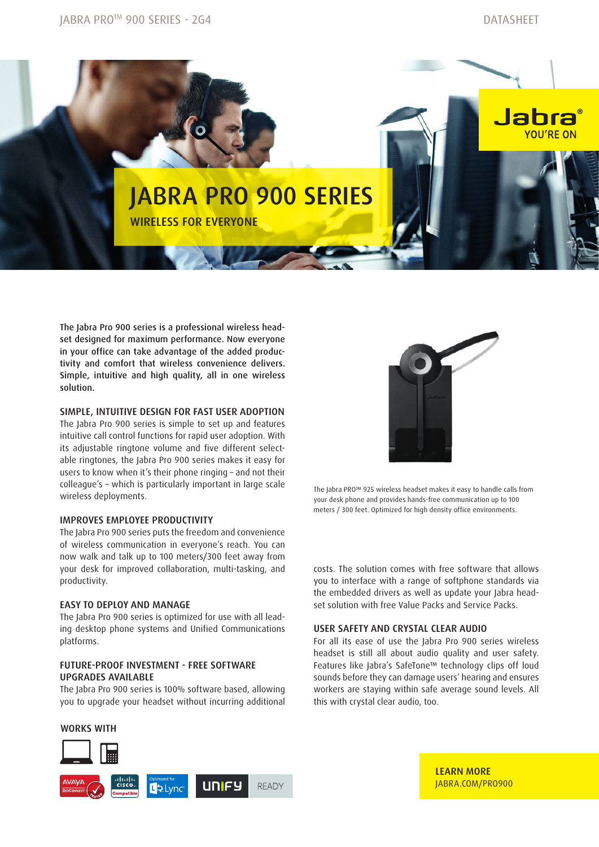

The Jabra Pro 900 series is a professional wireless headset designed for maximum performance. Now everyone in your office can take advantage of the added productivity and comfort that wireless convenience delivers. Simple, intuitive and high quality, all in one wireless solution.

## Simple, intuitive design for fast user adoption

The Jabra Pro 900 series is simple to set up and features intuitive call control functions for rapid user adoption. With its adjustable ringtone volume and five different selectable ringtones, the Jabra Pro 900 series makes it easy for users to know when it's their phone ringing – and not their colleague's – which is particularly important in large scale wireless deployments.

## Improves employee productivity

The Jabra Pro 900 series puts the freedom and convenience of wireless communication in everyone's reach. You can now walk and talk up to 100 meters/300 feet away from your desk for improved collaboration, multi-tasking, and productivity.

## Easy to deploy and manage

The Jabra Pro 900 series is optimized for use with all leading desktop phone systems and Unified Communications platforms.

# Future-proof investment - free software upgrades available

The Jabra Pro 900 series is 100% software based, allowing you to upgrade your headset without incurring additional







The Jabra PRO™ 925 wireless headset makes it easy to handle calls from your desk phone and provides hands-free communication up to 100 meters / 300 feet. Optimized for high density office environments.

costs. The solution comes with free software that allows you to interface with a range of softphone standards via the embedded drivers as well as update your Jabra headset solution with free Value Packs and Service Packs.

## User safety and crystal clear audio

For all its ease of use the Jabra Pro 900 series wireless headset is still all about audio quality and user safety. Features like Jabra's SafeTone™ technology clips off loud sounds before they can damage users' hearing and ensures workers are staying within safe average sound levels. All this with crystal clear audio, too.

> LEARN MORE JABRA.COM/PRO900